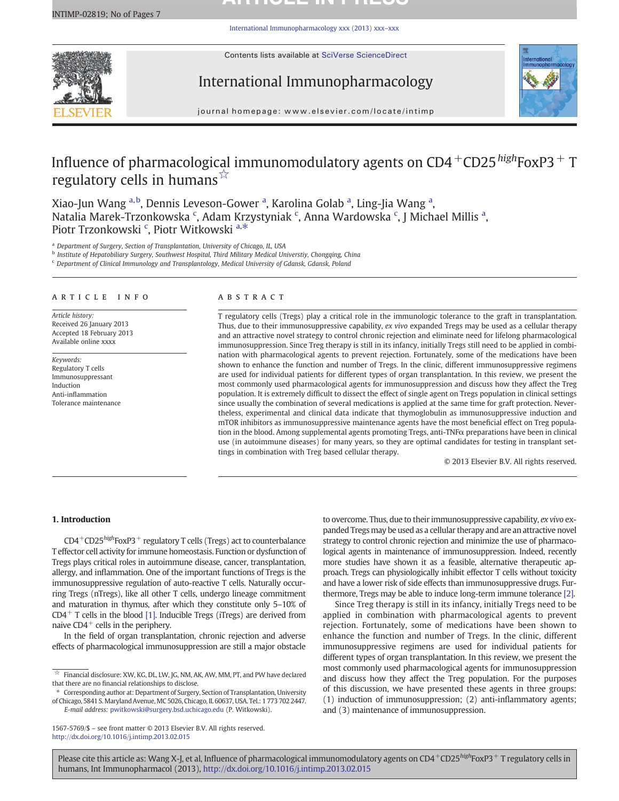# INTIMP-02819; No of Pages 7

# 11 I I IVEE II I I I IEVC

International Immunopharmacology xxx (2013) xxx–xxx

Contents lists available at SciVerse ScienceDirect



# International Immunopharmacology



journal homepage: www.elsevier.com/locate/intimp

# Influence of pharmacological immunomodulatory agents on  $CD4$ <sup>+</sup>CD25<sup>high</sup>FoxP3<sup>+</sup> T regulatory cells in humans $\mathbb{X}$

Xiao-Jun Wang <sup>a,b</sup>, Dennis Leveson-Gower <sup>a</sup>, Karolina Golab <sup>a</sup>, Ling-Jia Wang <sup>a</sup>, Natalia Marek-Trzonkowska <sup>c</sup>, Adam Krzystyniak <sup>c</sup>, Anna Wardowska <sup>c</sup>, J Michael Millis <sup>a</sup>, Piotr Trzonkowski <sup>c</sup>, Piotr Witkowski a,\*

<sup>a</sup> Department of Surgery, Section of Transplantation, University of Chicago, IL, USA

<sup>b</sup> Institute of Hepatobiliary Surgery, Southwest Hospital, Third Military Medical Universtiy, Chongqing, China

<sup>c</sup> Department of Clinical Immunology and Transplantology, Medical University of Gdansk, Gdansk, Poland

# article info abstract

Article history: Received 26 January 2013 Accepted 18 February 2013 Available online xxxx

Keywords: Regulatory T cells Immunosuppressant Induction Anti-inflammation Tolerance maintenance

T regulatory cells (Tregs) play a critical role in the immunologic tolerance to the graft in transplantation. Thus, due to their immunosuppressive capability, ex vivo expanded Tregs may be used as a cellular therapy and an attractive novel strategy to control chronic rejection and eliminate need for lifelong pharmacological immunosuppression. Since Treg therapy is still in its infancy, initially Tregs still need to be applied in combination with pharmacological agents to prevent rejection. Fortunately, some of the medications have been shown to enhance the function and number of Tregs. In the clinic, different immunosuppressive regimens are used for individual patients for different types of organ transplantation. In this review, we present the most commonly used pharmacological agents for immunosuppression and discuss how they affect the Treg population. It is extremely difficult to dissect the effect of single agent on Tregs population in clinical settings since usually the combination of several medications is applied at the same time for graft protection. Nevertheless, experimental and clinical data indicate that thymoglobulin as immunosuppressive induction and mTOR inhibitors as immunosuppressive maintenance agents have the most beneficial effect on Treg population in the blood. Among supplemental agents promoting Tregs, anti-TNF $\alpha$  preparations have been in clinical use (in autoimmune diseases) for many years, so they are optimal candidates for testing in transplant settings in combination with Treg based cellular therapy.

© 2013 Elsevier B.V. All rights reserved.

# 1. Introduction

 $CD4+CD25$ <sup>high</sup>FoxP3<sup>+</sup> regulatory T cells (Tregs) act to counterbalance T effector cell activity for immune homeostasis. Function or dysfunction of Tregs plays critical roles in autoimmune disease, cancer, transplantation, allergy, and inflammation. One of the important functions of Tregs is the immunosuppressive regulation of auto-reactive T cells. Naturally occurring Tregs (nTregs), like all other T cells, undergo lineage commitment and maturation in thymus, after which they constitute only 5–10% of  $CD4$ <sup>+</sup> T cells in the blood [1]. Inducible Tregs (iTregs) are derived from naive  $CD4^+$  cells in the periphery.

In the field of organ transplantation, chronic rejection and adverse effects of pharmacological immunosuppression are still a major obstacle

Corresponding author at: Department of Surgery, Section of Transplantation, University of Chicago, 5841 S. Maryland Avenue, MC 5026, Chicago, IL 60637, USA. Tel.: 1 773 702 2447. E-mail address: pwitkowski@surgery.bsd.uchicago.edu (P. Witkowski).

1567-5769/\$ – see front matter © 2013 Elsevier B.V. All rights reserved. http://dx.doi.org/10.1016/j.intimp.2013.02.015

to overcome. Thus, due to their immunosuppressive capability, ex vivo expanded Tregs may be used as a cellular therapy and are an attractive novel strategy to control chronic rejection and minimize the use of pharmacological agents in maintenance of immunosuppression. Indeed, recently more studies have shown it as a feasible, alternative therapeutic approach. Tregs can physiologically inhibit effector T cells without toxicity and have a lower risk of side effects than immunosuppressive drugs. Furthermore, Tregs may be able to induce long-term immune tolerance [2].

Since Treg therapy is still in its infancy, initially Tregs need to be applied in combination with pharmacological agents to prevent rejection. Fortunately, some of medications have been shown to enhance the function and number of Tregs. In the clinic, different immunosuppressive regimens are used for individual patients for different types of organ transplantation. In this review, we present the most commonly used pharmacological agents for immunosuppression and discuss how they affect the Treg population. For the purposes of this discussion, we have presented these agents in three groups: (1) induction of immunosuppression; (2) anti-inflammatory agents; and (3) maintenance of immunosuppression.

 $\overrightarrow{x}$  Financial disclosure: XW, KG, DL, LW, JG, NM, AK, AW, MM, PT, and PW have declared that there are no financial relationships to disclose.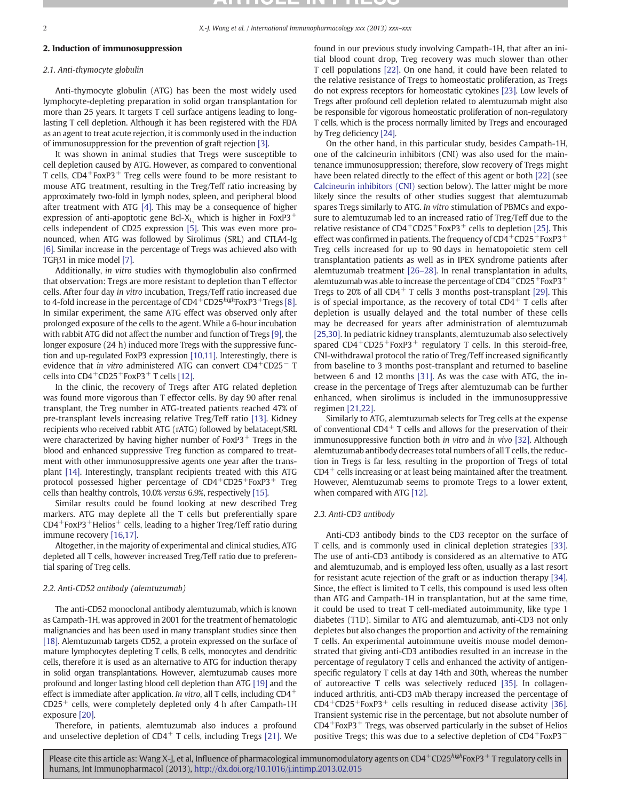# 2. Induction of immunosuppression

# 2.1. Anti-thymocyte globulin

Anti-thymocyte globulin (ATG) has been the most widely used lymphocyte-depleting preparation in solid organ transplantation for more than 25 years. It targets T cell surface antigens leading to longlasting T cell depletion. Although it has been registered with the FDA as an agent to treat acute rejection, it is commonly used in the induction of immunosuppression for the prevention of graft rejection [3].

It was shown in animal studies that Tregs were susceptible to cell depletion caused by ATG. However, as compared to conventional T cells,  $CD4+FoxP3+$  Treg cells were found to be more resistant to mouse ATG treatment, resulting in the Treg/Teff ratio increasing by approximately two-fold in lymph nodes, spleen, and peripheral blood after treatment with ATG [4]. This may be a consequence of higher expression of anti-apoptotic gene Bcl- $X_L$  which is higher in FoxP3<sup>+</sup> cells independent of CD25 expression [5]. This was even more pronounced, when ATG was followed by Sirolimus (SRL) and CTLA4-Ig [6]. Similar increase in the percentage of Tregs was achieved also with TGFβ1 in mice model [7].

Additionally, in vitro studies with thymoglobulin also confirmed that observation: Tregs are more resistant to depletion than T effector cells. After four day in vitro incubation, Tregs/Teff ratio increased due to 4-fold increase in the percentage of  $CD4+CD25$  high FoxP3<sup>+</sup>Tregs [8]. In similar experiment, the same ATG effect was observed only after prolonged exposure of the cells to the agent. While a 6-hour incubation with rabbit ATG did not affect the number and function of Tregs [9], the longer exposure (24 h) induced more Tregs with the suppressive function and up-regulated FoxP3 expression [10,11]. Interestingly, there is evidence that *in vitro* administered ATG can convert CD4<sup>+</sup>CD25<sup>−</sup> T cells into  $CD4^+CD25^+$ FoxP3<sup>+</sup> T cells [12].

In the clinic, the recovery of Tregs after ATG related depletion was found more vigorous than T effector cells. By day 90 after renal transplant, the Treg number in ATG-treated patients reached 47% of pre-transplant levels increasing relative Treg/Teff ratio [13]. Kidney recipients who received rabbit ATG (rATG) followed by belatacept/SRL were characterized by having higher number of  $FoxP3$ <sup>+</sup> Tregs in the blood and enhanced suppressive Treg function as compared to treatment with other immunosuppressive agents one year after the transplant [14]. Interestingly, transplant recipients treated with this ATG protocol possessed higher percentage of  $CD4+CD25+FORP3+$  Treg cells than healthy controls, 10.0% versus 6.9%, respectively [15].

Similar results could be found looking at new described Treg markers. ATG may deplete all the T cells but preferentially spare  $CD4+FoxP3+Helios+cells$ , leading to a higher Treg/Teff ratio during immune recovery [16,17].

Altogether, in the majority of experimental and clinical studies, ATG depleted all T cells, however increased Treg/Teff ratio due to preferential sparing of Treg cells.

# 2.2. Anti-CD52 antibody (alemtuzumab)

The anti-CD52 monoclonal antibody alemtuzumab, which is known as Campath-1H, was approved in 2001 for the treatment of hematologic malignancies and has been used in many transplant studies since then [18]. Alemtuzumab targets CD52, a protein expressed on the surface of mature lymphocytes depleting T cells, B cells, monocytes and dendritic cells, therefore it is used as an alternative to ATG for induction therapy in solid organ transplantations. However, alemtuzumab causes more profound and longer lasting blood cell depletion than ATG [19] and the effect is immediate after application. In vitro, all T cells, including  $CD4^+$  $CD25<sup>+</sup>$  cells, were completely depleted only 4 h after Campath-1H exposure [20].

Therefore, in patients, alemtuzumab also induces a profound and unselective depletion of  $CD4^+$  T cells, including Tregs [21]. We found in our previous study involving Campath-1H, that after an initial blood count drop, Treg recovery was much slower than other T cell populations [22]. On one hand, it could have been related to the relative resistance of Tregs to homeostatic proliferation, as Tregs do not express receptors for homeostatic cytokines [23]. Low levels of Tregs after profound cell depletion related to alemtuzumab might also be responsible for vigorous homeostatic proliferation of non-regulatory T cells, which is the process normally limited by Tregs and encouraged by Treg deficiency [24].

On the other hand, in this particular study, besides Campath-1H, one of the calcineurin inhibitors (CNI) was also used for the maintenance immunosuppression; therefore, slow recovery of Tregs might have been related directly to the effect of this agent or both [22] (see Calcineurin inhibitors (CNI) section below). The latter might be more likely since the results of other studies suggest that alemtuzumab spares Tregs similarly to ATG. In vitro stimulation of PBMCs and exposure to alemtuzumab led to an increased ratio of Treg/Teff due to the relative resistance of  $CD4+CD25+FoxP3+$  cells to depletion [25]. This effect was confirmed in patients. The frequency of  $CD4+CD25+FoxP3+$ Treg cells increased for up to 90 days in hematopoietic stem cell transplantation patients as well as in IPEX syndrome patients after alemtuzumab treatment [26–28]. In renal transplantation in adults, alemtuzumab was able to increase the percentage of  $CD4^+CD25^+$ FoxP3<sup>+</sup> Tregs to 20% of all  $CD4^+$  T cells 3 months post-transplant [29]. This is of special importance, as the recovery of total  $CD4^+$  T cells after depletion is usually delayed and the total number of these cells may be decreased for years after administration of alemtuzumab [25,30]. In pediatric kidney transplants, alemtuzumab also selectively spared  $CD4+CD25+FoxP3+$  regulatory T cells. In this steroid-free, CNI-withdrawal protocol the ratio of Treg/Teff increased significantly from baseline to 3 months post-transplant and returned to baseline between 6 and 12 months [31]. As was the case with ATG, the increase in the percentage of Tregs after alemtuzumab can be further enhanced, when sirolimus is included in the immunosuppressive regimen [21,22].

Similarly to ATG, alemtuzumab selects for Treg cells at the expense of conventional  $CD4^+$  T cells and allows for the preservation of their immunosuppressive function both in vitro and in vivo [32]. Although alemtuzumab antibody decreases total numbers of all T cells, the reduction in Tregs is far less, resulting in the proportion of Tregs of total  $CD4^+$  cells increasing or at least being maintained after the treatment. However, Alemtuzumab seems to promote Tregs to a lower extent, when compared with ATG [12].

# 2.3. Anti-CD3 antibody

Anti-CD3 antibody binds to the CD3 receptor on the surface of T cells, and is commonly used in clinical depletion strategies [33]. The use of anti-CD3 antibody is considered as an alternative to ATG and alemtuzumab, and is employed less often, usually as a last resort for resistant acute rejection of the graft or as induction therapy [34]. Since, the effect is limited to T cells, this compound is used less often than ATG and Campath-1H in transplantation, but at the same time, it could be used to treat T cell-mediated autoimmunity, like type 1 diabetes (T1D). Similar to ATG and alemtuzumab, anti-CD3 not only depletes but also changes the proportion and activity of the remaining T cells. An experimental autoimmune uveitis mouse model demonstrated that giving anti-CD3 antibodies resulted in an increase in the percentage of regulatory T cells and enhanced the activity of antigenspecific regulatory T cells at day 14th and 30th, whereas the number of autoreactive T cells was selectively reduced [35]. In collageninduced arthritis, anti-CD3 mAb therapy increased the percentage of  $CD4+CD25+FoxP3+$  cells resulting in reduced disease activity [36]. Transient systemic rise in the percentage, but not absolute number of  $CD4+FoxP3+Tregs$ , was observed particularly in the subset of Helios positive Tregs; this was due to a selective depletion of CD4<sup>+</sup>FoxP3<sup>−</sup>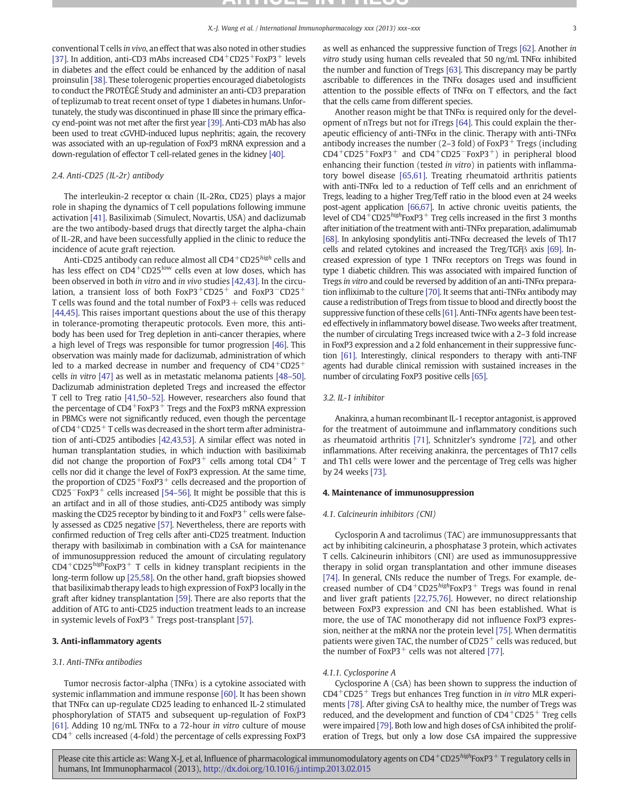conventional T cells in vivo, an effect that was also noted in other studies [37]. In addition, anti-CD3 mAbs increased  $CD4+CD25+FORP3+$  levels in diabetes and the effect could be enhanced by the addition of nasal proinsulin [38]. These tolerogenic properties encouraged diabetologists to conduct the PROTÉGÉ Study and administer an anti-CD3 preparation of teplizumab to treat recent onset of type 1 diabetes in humans. Unfortunately, the study was discontinued in phase III since the primary efficacy end-point was not met after the first year [39]. Anti-CD3 mAb has also been used to treat cGVHD-induced lupus nephritis; again, the recovery was associated with an up-regulation of FoxP3 mRNA expression and a down-regulation of effector T cell-related genes in the kidney [40].

### 2.4. Anti-CD25 (IL-2r) antibody

The interleukin-2 receptor  $\alpha$  chain (IL-2R $\alpha$ , CD25) plays a major role in shaping the dynamics of T cell populations following immune activation [41]. Basiliximab (Simulect, Novartis, USA) and daclizumab are the two antibody-based drugs that directly target the alpha-chain of IL-2R, and have been successfully applied in the clinic to reduce the incidence of acute graft rejection.

Anti-CD25 antibody can reduce almost all  $CD4^+CD25^{high}$  cells and has less effect on  $CD4^+CD25^{\text{low}}$  cells even at low doses, which has been observed in both in vitro and in vivo studies [42,43]. In the circulation, a transient loss of both FoxP3<sup>+</sup>CD25<sup>+</sup> and FoxP3<sup>−</sup>CD25<sup>+</sup> T cells was found and the total number of  $FoxP3 +$  cells was reduced [44,45]. This raises important questions about the use of this therapy in tolerance-promoting therapeutic protocols. Even more, this antibody has been used for Treg depletion in anti-cancer therapies, where a high level of Tregs was responsible for tumor progression [46]. This observation was mainly made for daclizumab, administration of which led to a marked decrease in number and frequency of  $CD4+CD25+$ cells in vitro [47] as well as in metastatic melanoma patients [48–50]. Daclizumab administration depleted Tregs and increased the effector T cell to Treg ratio [41,50–52]. However, researchers also found that the percentage of  $CD4+FoxP3+Tregs$  and the FoxP3 mRNA expression in PBMCs were not significantly reduced, even though the percentage of  $CD4^+CD25^+$  T cells was decreased in the short term after administration of anti-CD25 antibodies [42,43,53]. A similar effect was noted in human transplantation studies, in which induction with basiliximab did not change the proportion of  $FoxP3$ <sup>+</sup> cells among total  $CD4$ <sup>+</sup> T cells nor did it change the level of FoxP3 expression. At the same time, the proportion of  $CD25+FoxP3+$  cells decreased and the proportion of CD25<sup> $-$ </sup>FoxP3<sup>+</sup> cells increased [54–56]. It might be possible that this is an artifact and in all of those studies, anti-CD25 antibody was simply masking the CD25 receptor by binding to it and  $FoxP3^+$  cells were falsely assessed as CD25 negative [57]. Nevertheless, there are reports with confirmed reduction of Treg cells after anti-CD25 treatment. Induction therapy with basiliximab in combination with a CsA for maintenance of immunosuppression reduced the amount of circulating regulatory  $CD4+CD25<sup>high</sup>$ FoxP3<sup>+</sup> T cells in kidney transplant recipients in the long-term follow up [25,58]. On the other hand, graft biopsies showed that basiliximab therapy leads to high expression of FoxP3 locally in the graft after kidney transplantation [59]. There are also reports that the addition of ATG to anti-CD25 induction treatment leads to an increase in systemic levels of FoxP3<sup>+</sup> Tregs post-transplant [57].

# 3. Anti-inflammatory agents

### 3.1. Anti-TNFα antibodies

Tumor necrosis factor-alpha (TNF $\alpha$ ) is a cytokine associated with systemic inflammation and immune response [60]. It has been shown that TNFα can up-regulate CD25 leading to enhanced IL-2 stimulated phosphorylation of STAT5 and subsequent up-regulation of FoxP3 [61]. Adding 10 ng/mL TNF $\alpha$  to a 72-hour in vitro culture of mouse  $CD4^+$  cells increased (4-fold) the percentage of cells expressing FoxP3

as well as enhanced the suppressive function of Tregs [62]. Another in vitro study using human cells revealed that 50 ng/mL TNF $\alpha$  inhibited the number and function of Tregs [63]. This discrepancy may be partly ascribable to differences in the TNF $\alpha$  dosages used and insufficient attention to the possible effects of TNF $\alpha$  on T effectors, and the fact that the cells came from different species.

Another reason might be that  $TNF\alpha$  is required only for the development of nTregs but not for iTregs [64]. This could explain the therapeutic efficiency of anti-TNF $\alpha$  in the clinic. Therapy with anti-TNF $\alpha$ antibody increases the number (2–3 fold) of FoxP3<sup>+</sup> Tregs (including  $CD4+CD25+FORP3+$  and  $CD4+CD25-FORP3+$ ) in peripheral blood enhancing their function (tested in vitro) in patients with inflammatory bowel disease [65,61]. Treating rheumatoid arthritis patients with anti-TNF $\alpha$  led to a reduction of Teff cells and an enrichment of Tregs, leading to a higher Treg/Teff ratio in the blood even at 24 weeks post-agent application [66,67]. In active chronic uveitis patients, the level of  $CD4+CD25$  high FoxP3<sup>+</sup> Treg cells increased in the first 3 months after initiation of the treatment with anti-TNF $\alpha$  preparation, adalimumab [68]. In ankylosing spondylitis anti-TNF $\alpha$  decreased the levels of Th17 cells and related cytokines and increased the Treg/TGFβ axis [69]. Increased expression of type 1 TNFα receptors on Tregs was found in type 1 diabetic children. This was associated with impaired function of Tregs in vitro and could be reversed by addition of an anti-TNFα preparation infliximab to the culture [70]. It seems that anti-TNF $\alpha$  antibody may cause a redistribution of Tregs from tissue to blood and directly boost the suppressive function of these cells [61]. Anti-TNF $\alpha$  agents have been tested effectively in inflammatory bowel disease. Two weeks after treatment, the number of circulating Tregs increased twice with a 2–3 fold increase in FoxP3 expression and a 2 fold enhancement in their suppressive function [61]. Interestingly, clinical responders to therapy with anti-TNF agents had durable clinical remission with sustained increases in the number of circulating FoxP3 positive cells [65].

# 3.2. IL-1 inhibitor

Anakinra, a human recombinant IL-1 receptor antagonist, is approved for the treatment of autoimmune and inflammatory conditions such as rheumatoid arthritis [71], Schnitzler's syndrome [72], and other inflammations. After receiving anakinra, the percentages of Th17 cells and Th1 cells were lower and the percentage of Treg cells was higher by 24 weeks [73].

# 4. Maintenance of immunosuppression

#### 4.1. Calcineurin inhibitors (CNI)

Cyclosporin A and tacrolimus (TAC) are immunosuppressants that act by inhibiting calcineurin, a phosphatase 3 protein, which activates T cells. Calcineurin inhibitors (CNI) are used as immunosuppressive therapy in solid organ transplantation and other immune diseases [74]. In general, CNIs reduce the number of Tregs. For example, decreased number of  $CD4+CD25^{high}$ FoxP3<sup>+</sup> Tregs was found in renal and liver graft patients [22,75,76]. However, no direct relationship between FoxP3 expression and CNI has been established. What is more, the use of TAC monotherapy did not influence FoxP3 expression, neither at the mRNA nor the protein level [75]. When dermatitis patients were given TAC, the number of  $CD25<sup>+</sup>$  cells was reduced, but the number of FoxP3<sup>+</sup> cells was not altered [77].

# 4.1.1. Cyclosporine A

Cyclosporine A (CsA) has been shown to suppress the induction of  $CD4+CD25+$  Tregs but enhances Treg function in *in vitro* MLR experiments [78]. After giving CsA to healthy mice, the number of Tregs was reduced, and the development and function of  $CD4+CD25+$  Treg cells were impaired [79]. Both low and high doses of CsA inhibited the proliferation of Tregs, but only a low dose CsA impaired the suppressive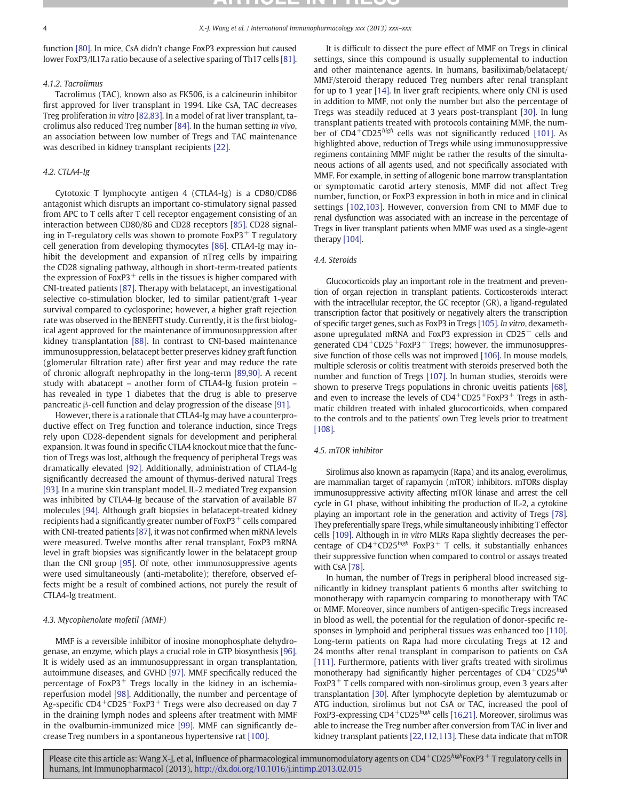function [80]. In mice, CsA didn't change FoxP3 expression but caused lower FoxP3/IL17a ratio because of a selective sparing of Th17 cells [81].

# 4.1.2. Tacrolimus

Tacrolimus (TAC), known also as FK506, is a calcineurin inhibitor first approved for liver transplant in 1994. Like CsA, TAC decreases Treg proliferation in vitro [82,83]. In a model of rat liver transplant, tacrolimus also reduced Treg number [84]. In the human setting in vivo, an association between low number of Tregs and TAC maintenance was described in kidney transplant recipients [22].

# 4.2. CTLA4-Ig

Cytotoxic T lymphocyte antigen 4 (CTLA4-Ig) is a CD80/CD86 antagonist which disrupts an important co-stimulatory signal passed from APC to T cells after T cell receptor engagement consisting of an interaction between CD80/86 and CD28 receptors [85]. CD28 signaling in T-regulatory cells was shown to promote  $FoxP3$ <sup>+</sup> T regulatory cell generation from developing thymocytes [86]. CTLA4-Ig may inhibit the development and expansion of nTreg cells by impairing the CD28 signaling pathway, although in short-term-treated patients the expression of Fox $P3$ <sup>+</sup> cells in the tissues is higher compared with CNI-treated patients [87]. Therapy with belatacept, an investigational selective co-stimulation blocker, led to similar patient/graft 1-year survival compared to cyclosporine; however, a higher graft rejection rate was observed in the BENEFIT study. Currently, it is the first biological agent approved for the maintenance of immunosuppression after kidney transplantation [88]. In contrast to CNI-based maintenance immunosuppression, belatacept better preserves kidney graft function (glomerular filtration rate) after first year and may reduce the rate of chronic allograft nephropathy in the long-term [89,90]. A recent study with abatacept – another form of CTLA4-Ig fusion protein – has revealed in type 1 diabetes that the drug is able to preserve pancreatic β-cell function and delay progression of the disease [91].

However, there is a rationale that CTLA4-Ig may have a counterproductive effect on Treg function and tolerance induction, since Tregs rely upon CD28-dependent signals for development and peripheral expansion. It was found in specific CTLA4 knockout mice that the function of Tregs was lost, although the frequency of peripheral Tregs was dramatically elevated [92]. Additionally, administration of CTLA4-Ig significantly decreased the amount of thymus-derived natural Tregs [93]. In a murine skin transplant model, IL-2 mediated Treg expansion was inhibited by CTLA4-Ig because of the starvation of available B7 molecules [94]. Although graft biopsies in belatacept-treated kidney recipients had a significantly greater number of  $FoxP3<sup>+</sup>$  cells compared with CNI-treated patients [87], it was not confirmed when mRNA levels were measured. Twelve months after renal transplant, FoxP3 mRNA level in graft biopsies was significantly lower in the belatacept group than the CNI group [95]. Of note, other immunosuppressive agents were used simultaneously (anti-metabolite); therefore, observed effects might be a result of combined actions, not purely the result of CTLA4-Ig treatment.

# 4.3. Mycophenolate mofetil (MMF)

MMF is a reversible inhibitor of inosine monophosphate dehydrogenase, an enzyme, which plays a crucial role in GTP biosynthesis [96]. It is widely used as an immunosuppressant in organ transplantation, autoimmune diseases, and GVHD [97]. MMF specifically reduced the percentage of FoxP3<sup>+</sup> Tregs locally in the kidney in an ischemiareperfusion model [98]. Additionally, the number and percentage of Ag-specific  $CD4+CD25+FoxP3+Tregs$  were also decreased on day 7 in the draining lymph nodes and spleens after treatment with MMF in the ovalbumin-immunized mice [99]. MMF can significantly decrease Treg numbers in a spontaneous hypertensive rat [100].

It is difficult to dissect the pure effect of MMF on Tregs in clinical settings, since this compound is usually supplemental to induction and other maintenance agents. In humans, basiliximab/belatacept/ MMF/steroid therapy reduced Treg numbers after renal transplant for up to 1 year [14]. In liver graft recipients, where only CNI is used in addition to MMF, not only the number but also the percentage of Tregs was steadily reduced at 3 years post-transplant [30]. In lung transplant patients treated with protocols containing MMF, the number of  $CD4+CD25^{high}$  cells was not significantly reduced [101]. As highlighted above, reduction of Tregs while using immunosuppressive regimens containing MMF might be rather the results of the simultaneous actions of all agents used, and not specifically associated with MMF. For example, in setting of allogenic bone marrow transplantation or symptomatic carotid artery stenosis, MMF did not affect Treg number, function, or FoxP3 expression in both in mice and in clinical settings [102,103]. However, conversion from CNI to MMF due to renal dysfunction was associated with an increase in the percentage of Tregs in liver transplant patients when MMF was used as a single-agent therapy [104].

# 4.4. Steroids

Glucocorticoids play an important role in the treatment and prevention of organ rejection in transplant patients. Corticosteroids interact with the intracellular receptor, the GC receptor (GR), a ligand-regulated transcription factor that positively or negatively alters the transcription of specific target genes, such as FoxP3 in Tregs [105]. In vitro, dexamethasone upregulated mRNA and FoxP3 expression in CD25<sup>−</sup> cells and generated CD4<sup>+</sup>CD25<sup>+</sup>FoxP3<sup>+</sup> Tregs; however, the immunosuppressive function of those cells was not improved [106]. In mouse models, multiple sclerosis or colitis treatment with steroids preserved both the number and function of Tregs [107]. In human studies, steroids were shown to preserve Tregs populations in chronic uveitis patients [68], and even to increase the levels of  $CD4+CD25+FoxP3+Tregs$  in asthmatic children treated with inhaled glucocorticoids, when compared to the controls and to the patients' own Treg levels prior to treatment [108].

# 4.5. mTOR inhibitor

Sirolimus also known as rapamycin (Rapa) and its analog, everolimus, are mammalian target of rapamycin (mTOR) inhibitors. mTORs display immunosuppressive activity affecting mTOR kinase and arrest the cell cycle in G1 phase, without inhibiting the production of IL-2, a cytokine playing an important role in the generation and activity of Tregs [78]. They preferentially spare Tregs, while simultaneously inhibiting T effector cells [109]. Although in in vitro MLRs Rapa slightly decreases the percentage of  $CD4+CD25^{high}$  FoxP3<sup>+</sup> T cells, it substantially enhances their suppressive function when compared to control or assays treated with CsA [78].

In human, the number of Tregs in peripheral blood increased significantly in kidney transplant patients 6 months after switching to monotherapy with rapamycin comparing to monotherapy with TAC or MMF. Moreover, since numbers of antigen-specific Tregs increased in blood as well, the potential for the regulation of donor-specific responses in lymphoid and peripheral tissues was enhanced too [110]. Long-term patients on Rapa had more circulating Tregs at 12 and 24 months after renal transplant in comparison to patients on CsA [111]. Furthermore, patients with liver grafts treated with sirolimus monotherapy had significantly higher percentages of  $CD4+CD25<sup>high</sup>$ FoxP3<sup>+</sup> T cells compared with non-sirolimus group, even 3 years after transplantation [30]. After lymphocyte depletion by alemtuzumab or ATG induction, sirolimus but not CsA or TAC, increased the pool of FoxP3-expressing  $CD4+CD25^{high}$  cells [16,21]. Moreover, sirolimus was able to increase the Treg number after conversion from TAC in liver and kidney transplant patients [22,112,113]. These data indicate that mTOR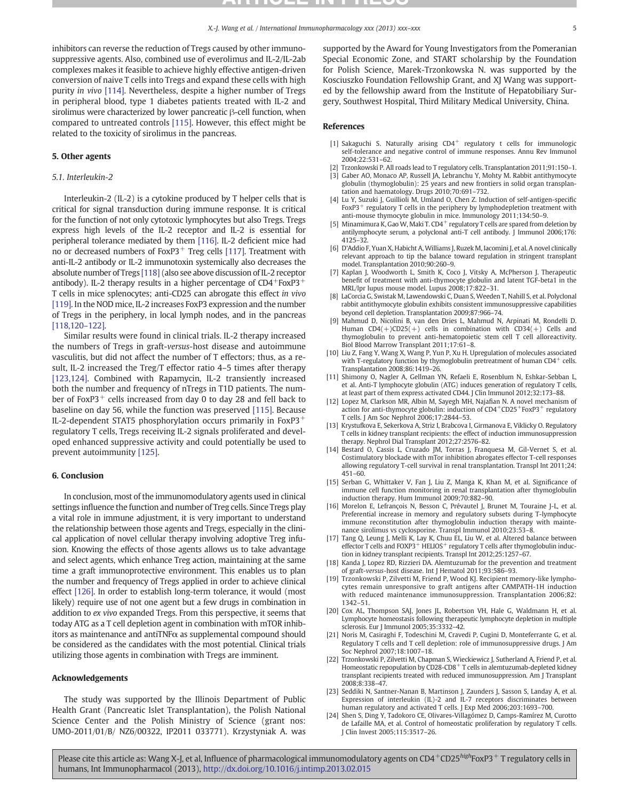inhibitors can reverse the reduction of Tregs caused by other immunosuppressive agents. Also, combined use of everolimus and IL-2/IL-2ab complexes makes it feasible to achieve highly effective antigen-driven conversion of naive T cells into Tregs and expand these cells with high purity in vivo [114]. Nevertheless, despite a higher number of Tregs in peripheral blood, type 1 diabetes patients treated with IL-2 and sirolimus were characterized by lower pancreatic β-cell function, when compared to untreated controls [115]. However, this effect might be related to the toxicity of sirolimus in the pancreas.

# 5. Other agents

# 5.1. Interleukin-2

Interleukin-2 (IL-2) is a cytokine produced by T helper cells that is critical for signal transduction during immune response. It is critical for the function of not only cytotoxic lymphocytes but also Tregs. Tregs express high levels of the IL-2 receptor and IL-2 is essential for peripheral tolerance mediated by them [116]. IL-2 deficient mice had no or decreased numbers of FoxP3<sup>+</sup> Treg cells [117]. Treatment with anti-IL-2 antibody or IL-2 immunotoxin systemically also decreases the absolute number of Tregs [118] (also see above discussion of IL-2 receptor antibody). IL-2 therapy results in a higher percentage of  $CD4+FoxP3$ <sup>+</sup> T cells in mice splenocytes; anti-CD25 can abrogate this effect in vivo [119]. In the NOD mice, IL-2 increases FoxP3 expression and the number of Tregs in the periphery, in local lymph nodes, and in the pancreas [118,120–122].

Similar results were found in clinical trials. IL-2 therapy increased the numbers of Tregs in graft-versus-host disease and autoimmune vasculitis, but did not affect the number of T effectors; thus, as a result, IL-2 increased the Treg/T effector ratio 4–5 times after therapy [123,124]. Combined with Rapamycin, IL-2 transiently increased both the number and frequency of nTregs in T1D patients. The number of Fox $P3$ <sup>+</sup> cells increased from day 0 to day 28 and fell back to baseline on day 56, while the function was preserved [115]. Because IL-2-dependent STAT5 phosphorylation occurs primarily in FoxP3<sup>+</sup> regulatory T cells, Tregs receiving IL-2 signals proliferated and developed enhanced suppressive activity and could potentially be used to prevent autoimmunity [125].

# 6. Conclusion

In conclusion, most of the immunomodulatory agents used in clinical settings influence the function and number of Treg cells. Since Tregs play a vital role in immune adjustment, it is very important to understand the relationship between those agents and Tregs, especially in the clinical application of novel cellular therapy involving adoptive Treg infusion. Knowing the effects of those agents allows us to take advantage and select agents, which enhance Treg action, maintaining at the same time a graft immunoprotective environment. This enables us to plan the number and frequency of Tregs applied in order to achieve clinical effect [126]. In order to establish long-term tolerance, it would (most likely) require use of not one agent but a few drugs in combination in addition to ex vivo expanded Tregs. From this perspective, it seems that today ATG as a T cell depletion agent in combination with mTOR inhibitors as maintenance and antiTNF $\alpha$  as supplemental compound should be considered as the candidates with the most potential. Clinical trials utilizing those agents in combination with Tregs are imminent.

# Acknowledgements

The study was supported by the Illinois Department of Public Health Grant (Pancreatic Islet Transplantation), the Polish National Science Center and the Polish Ministry of Science (grant nos: UMO-2011/01/B/ NZ6/00322, IP2011 033771). Krzystyniak A. was

supported by the Award for Young Investigators from the Pomeranian Special Economic Zone, and START scholarship by the Foundation for Polish Science, Marek-Trzonkowska N. was supported by the Kosciuszko Foundation Fellowship Grant, and XJ Wang was supported by the fellowship award from the Institute of Hepatobiliary Surgery, Southwest Hospital, Third Military Medical University, China.

### References

- [1] Sakaguchi S. Naturally arising CD4<sup>+</sup> regulatory t cells for immunologic self-tolerance and negative control of immune responses. Annu Rev Immunol 2004;22:531–62.
- [2] Trzonkowski P. All roads lead to T regulatory cells. Transplantation 2011;91:150–1.
- [3] Gaber AO, Monaco AP, Russell JA, Lebranchu Y, Mohty M. Rabbit antithymocyte globulin (thymoglobulin): 25 years and new frontiers in solid organ transplantation and haematology. Drugs 2010;70:691–732.
- [4] Lu Y, Suzuki J, Guillioli M, Umland O, Chen Z. Induction of self-antigen-specific FoxP3<sup>+</sup> regulatory T cells in the periphery by lymphodepletion treatment with anti-mouse thymocyte globulin in mice. Immunology 2011;134:50–9.
- [5] Minamimura K, Gao W, Maki T.  $CD4^+$  regulatory T cells are spared from deletion by antilymphocyte serum, a polyclonal anti-T cell antibody. J Immunol 2006;176: 4125–32.
- [6] D'Addio F, Yuan X, Habicht A,Williams J, Ruzek M, Iacomini J, et al. A novel clinically relevant approach to tip the balance toward regulation in stringent transplant model. Transplantation 2010;90:260–9.
- [7] Kaplan J, Woodworth L, Smith K, Coco J, Vitsky A, McPherson J. Therapeutic benefit of treatment with anti-thymocyte globulin and latent TGF-beta1 in the MRL/lpr lupus mouse model. Lupus 2008;17:822–31.
- [8] LaCorcia G, Swistak M, Lawendowski C, Duan S, Weeden T, Nahill S, et al. Polyclonal rabbit antithymocyte globulin exhibits consistent immunosuppressive capabilities beyond cell depletion. Transplantation 2009;87:966–74.
- [9] Mahmud D, Nicolini B, van den Dries L, Mahmud N, Arpinati M, Rondelli D. Human  $CD4(+)CD25(+)$  cells in combination with  $CD34(+)$  Cells and thymoglobulin to prevent anti-hematopoietic stem cell T cell alloreactivity. Biol Blood Marrow Transplant 2011;17:61–8.
- [10] Liu Z, Fang Y, Wang X, Wang P, Yun P, Xu H. Upregulation of molecules associated with T-regulatory function by thymoglobulin pretreatment of human  $CD4^+$  cells. Transplantation 2008;86:1419–26.
- [11] Shimony O, Nagler A, Gellman YN, Refaeli E, Rosenblum N, Eshkar-Sebban L, et al. Anti-T lymphocyte globulin (ATG) induces generation of regulatory T cells, at least part of them express activated CD44. J Clin Immunol 2012;32:173–88.
- [12] Lopez M, Clarkson MR, Albin M, Sayegh MH, Najafian N. A novel mechanism of action for anti-thymocyte globulin: induction of  $CD4+CD25+FoxP3+$  regulatory T cells. J Am Soc Nephrol 2006;17:2844–53.
- [13] Krystufkova E, Sekerkova A, Striz I, Brabcova I, Girmanova E, Viklicky O. Regulatory T cells in kidney transplant recipients: the effect of induction immunosuppression therapy. Nephrol Dial Transplant 2012;27:2576–82.
- [14] Bestard O, Cassis L, Cruzado JM, Torras J, Franquesa M, Gil-Vernet S, et al. Costimulatory blockade with mTor inhibition abrogates effector T-cell responses allowing regulatory T-cell survival in renal transplantation. Transpl Int 2011;24: 451–60.
- [15] Serban G, Whittaker V, Fan J, Liu Z, Manga K, Khan M, et al. Significance of immune cell function monitoring in renal transplantation after thymoglobulin induction therapy. Hum Immunol 2009;70:882–90.
- [16] Morelon E, Lefrançois N, Besson C, Prévautel J, Brunet M, Touraine J-L, et al. Preferential increase in memory and regulatory subsets during T-lymphocyte immune reconstitution after thymoglobulin induction therapy with maintenance sirolimus vs cyclosporine. Transpl Immunol 2010;23:53–8.
- [17] Tang Q, Leung J, Melli K, Lay K, Chuu EL, Liu W, et al. Altered balance between effector T cells and FOXP3<sup>+</sup> HELIOS<sup>+</sup> regulatory T cells after thymoglobulin induction in kidney transplant recipients. Transpl Int 2012;25:1257–67.
- [18] Kanda J, Lopez RD, Rizzieri DA. Alemtuzumab for the prevention and treatment of graft-versus-host disease. Int J Hematol 2011;93:586–93.
- [19] Trzonkowski P, Zilvetti M, Friend P, Wood KJ. Recipient memory-like lymphocytes remain unresponsive to graft antigens after CAMPATH-1H induction with reduced maintenance immunosuppression. Transplantation 2006;82: 1342–51.
- [20] Cox AL, Thompson SAJ, Jones JL, Robertson VH, Hale G, Waldmann H, et al. Lymphocyte homeostasis following therapeutic lymphocyte depletion in multiple sclerosis. Eur J Immunol 2005;35:3332–42.
- [21] Noris M, Casiraghi F, Todeschini M, Cravedi P, Cugini D, Monteferrante G, et al. Regulatory T cells and T cell depletion: role of immunosuppressive drugs. J Am Soc Nephrol 2007;18:1007–18.
- [22] Trzonkowski P, Zilvetti M, Chapman S, Wieckiewicz J, Sutherland A, Friend P, et al. Homeostatic repopulation by CD28-CD8<sup>+</sup> T cells in alemtuzumab-depleted kidney transplant recipients treated with reduced immunosuppression. Am J Transplant 2008;8:338–47.
- [23] Seddiki N, Santner-Nanan B, Martinson J, Zaunders J, Sasson S, Landay A, et al. Expression of interleukin (IL)-2 and IL-7 receptors discriminates between human regulatory and activated T cells. J Exp Med 2006;203:1693–700.
- [24] Shen S, Ding Y, Tadokoro CE, Olivares-Villagómez D, Camps-Ramírez M, Curotto de Lafaille MA, et al. Control of homeostatic proliferation by regulatory T cells. J Clin Invest 2005;115:3517–26.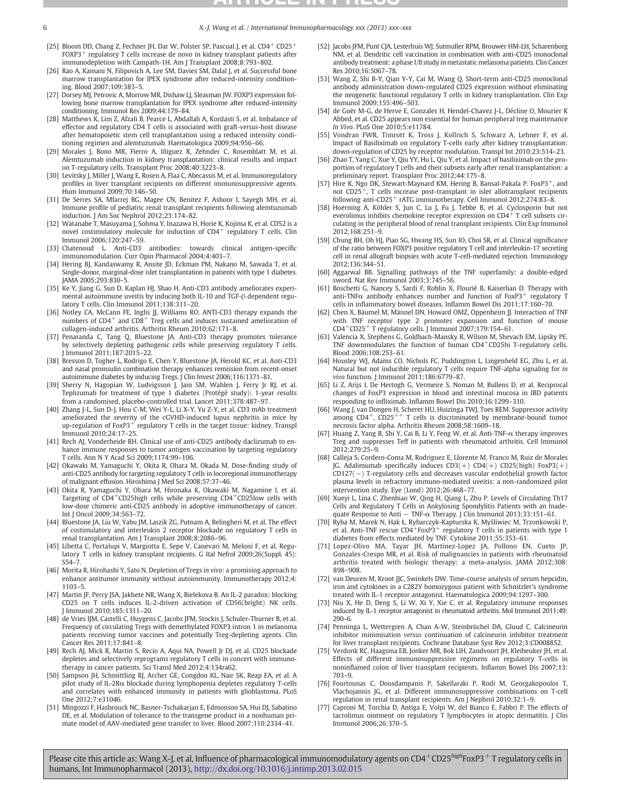# 6 X.-J. Wang et al. / International Immunopharmacology xxx (2013) xxx–xxx

- [25] Bloom DD, Chang Z, Fechner JH, Dar W, Polster SP, Pascual J, et al. CD4<sup>+</sup> CD25<sup>+</sup> FOXP3<sup>+</sup> regulatory T cells increase de novo in kidney transplant patients after immunodepletion with Campath-1H. Am J Transplant 2008;8:793–802.
- [26] Rao A, Kamani N, Filipovich A, Lee SM, Davies SM, Dalal J, et al. Successful bone marrow transplantation for IPEX syndrome after reduced-intensity conditioning. Blood 2007;109:383–5.
- [27] Dorsey MJ, Petrovic A, Morrow MR, Dishaw LJ, Sleasman JW. FOXP3 expression following bone marrow transplantation for IPEX syndrome after reduced-intensity conditioning. Immunol Res 2009;44:179–84.
- [28] Matthews K, Lim Z, Afzali B, Pearce L, Abdallah A, Kordasti S, et al. Imbalance of effector and regulatory CD4 T cells is associated with graft-versus-host disease after hematopoietic stem cell transplantation using a reduced intensity conditioning regimen and alemtuzumab. Haematologica 2009;94:956–66.
- [29] Morales J, Bono MR, Fierro A, Iñiguez R, Zehnder C, Rosemblatt M, et al. Alemtuzumab induction in kidney transplantation: clinical results and impact on T-regulatory cells. Transplant Proc 2008;40:3223–8.
- [30] Levitsky J, Miller J, Wang E, Rosen A, Flaa C, Abecassis M, et al. Immunoregulatory profiles in liver transplant recipients on different immunosuppressive agents. Hum Immunol 2009;70:146–50.
- [31] De Serres SA, Mfarrej BG, Magee CN, Benitez F, Ashoor I, Sayegh MH, et al. Immune profile of pediatric renal transplant recipients following alemtuzumab induction. J Am Soc Nephrol 2012;23:174–82.
- [32] Watanabe T, Masuyama J, Sohma Y, Inazawa H, Horie K, Kojima K, et al. CD52 is a novel costimulatory molecule for induction of CD4<sup>+</sup> regulatory T cells. Clin Immunol 2006;120:247–59.
- [33] Chatenoud L. Anti-CD3 antibodies: towards clinical antigen-specific immunomodulation. Curr Opin Pharmacol 2004;4:403–7.
- [34] Hering BJ, Kandaswamy R, Ansite JD, Eckman PM, Nakano M, Sawada T, et al. Single-donor, marginal-dose islet transplantation in patients with type 1 diabetes. JAMA 2005;293:830–5.
- [35] Ke Y, Jiang G, Sun D, Kaplan HJ, Shao H. Anti-CD3 antibody ameliorates experimental autoimmune uveitis by inducing both IL-10 and TGF-β dependent regulatory T cells. Clin Immunol 2011;138:311–20.
- [36] Notley CA, McCann FE, Inglis JJ, Williams RO. ANTI-CD3 therapy expands the numbers of  $CD4^+$  and  $CD8^+$  Treg cells and induces sustained amelioration of collagen-induced arthritis. Arthritis Rheum 2010;62:171–8.
- [37] Penaranda C, Tang Q, Bluestone JA. Anti-CD3 therapy promotes tolerance by selectively depleting pathogenic cells while preserving regulatory T cells. J Immunol 2011;187:2015–22.
- [38] Bresson D, Togher L, Rodrigo E, Chen Y, Bluestone JA, Herold KC, et al. Anti-CD3 and nasal proinsulin combination therapy enhances remission from recent-onset autoimmune diabetes by inducing Tregs. J Clin Invest 2006;116:1371–81.
- [39] Sherry N, Hagopian W, Ludvigsson J, Jain SM, Wahlen J, Ferry Jr RJ, et al. Teplizumab for treatment of type 1 diabetes (Protégé study): 1-year results from a randomised, placebo-controlled trial. Lancet 2011;378:487–97.
- [40] Zhang J-L, Sun D-J, Hou C-M, Wei Y-L, Li X-Y, Yu Z-Y, et al. CD3 mAb treatment ameliorated the severity of the cGVHD-induced lupus nephritis in mice by up-regulation of FoxP3<sup>+</sup> regulatory T cells in the target tissue: kidney. Transpl Immunol 2010;24:17–25.
- [41] Rech AJ, Vonderheide RH. Clinical use of anti-CD25 antibody daclizumab to enhance immune responses to tumor antigen vaccination by targeting regulatory T cells. Ann N Y Acad Sci 2009;1174:99–106.
- [42] Okawaki M, Yamaguchi Y, Okita R, Ohara M, Okada M. Dose-finding study of anti-CD25 antibody for targeting regulatory T cells in locoregional immunotherapy of malignant effusion. Hiroshima J Med Sci 2008;57:37–46.
- [43] Okita R, Yamaguchi Y, Ohara M, Hironaka K, Okawaki M, Nagamine I, et al. Targeting of CD4<sup>+</sup>CD25high cells while preserving CD4<sup>+</sup>CD25low cells with low-dose chimeric anti-CD25 antibody in adoptive immunotherapy of cancer. Int J Oncol 2009;34:563–72.
- [44] Bluestone JA, Liu W, Yabu JM, Laszik ZG, Putnam A, Belingheri M, et al. The effect of costimulatory and interleukin 2 receptor blockade on regulatory T cells in renal transplantation. Am J Transplant 2008;8:2086–96.
- [45] Libetta C, Portalupi V, Margiotta E, Sepe V, Canevari M, Meloni F, et al. Regulatory T cells in kidney transplant recipients. G Ital Nefrol 2009;26(Suppl. 45): S54–7.
- [46] Morita R, Hirohashi Y, Sato N. Depletion of Tregs in vivo: a promising approach to enhance antitumor immunity without autoimmunity. Immunotherapy 2012;4: 1103–5.
- [47] Martin JF, Perry JSA, Jakhete NR, Wang X, Bielekova B. An IL-2 paradox: blocking CD25 on T cells induces IL-2-driven activation of CD56(bright) NK cells. J Immunol 2010;185:1311–20.
- [48] de Vries IJM, Castelli C, Huygens C, Jacobs JFM, Stockis J, Schuler-Thurner B, et al. Frequency of circulating Tregs with demethylated FOXP3 intron 1 in melanoma patients receiving tumor vaccines and potentially Treg-depleting agents. Clin Cancer Res 2011;17:841–8.
- [49] Rech AJ, Mick R, Martin S, Recio A, Aqui NA, Powell Jr DJ, et al. CD25 blockade depletes and selectively reprograms regulatory T cells in concert with immunotherapy in cancer patients. Sci Transl Med 2012;4:134ra62.
- [50] Sampson JH, Schmittling RJ, Archer GE, Congdon KL, Nair SK, Reap EA, et al. A pilot study of IL-2Rα blockade during lymphopenia depletes regulatory T-cells and correlates with enhanced immunity in patients with glioblastoma. PLoS One 2012;7:e31046.
- [51] Mingozzi F, Hasbrouck NC, Basner-Tschakarjan E, Edmonson SA, Hui DJ, Sabatino DE, et al. Modulation of tolerance to the transgene product in a nonhuman primate model of AAV-mediated gene transfer to liver. Blood 2007;110:2334–41.
- [52] Jacobs JFM, Punt CJA, Lesterhuis WJ, Sutmuller RPM, Brouwer HM-LH, Scharenborg NM, et al. Dendritic cell vaccination in combination with anti-CD25 monoclonal antibody treatment: a phase I/II study in metastatic melanoma patients. Clin Cancer Res 2010;16:5067–78.
- [53] Wang Z, Shi B-Y, Qian Y-Y, Cai M, Wang Q. Short-term anti-CD25 monoclonal antibody administration down-regulated CD25 expression without eliminating the neogenetic functional regulatory T cells in kidney transplantation. Clin Exp Immunol 2009;155:496–503.
- [54] de Goër M-G, de Herve E, Gonzales H, Hendel-Chavez J-L, Décline O, Mourier K Abbed, et al. CD25 appears non essential for human peripheral treg maintenance In Vivo. PLoS One 2010;5:e11784.
- [55] Vondran FWR, Timrott K, Tross J, Kollrich S, Schwarz A, Lehner F, et al. Impact of Basiliximab on regulatory T-cells early after kidney transplantation: down-regulation of CD25 by receptor modulation. Transpl Int 2010;23:514–23.
- [56] Zhao T, Yang C, Xue Y, Qiu YY, Hu L, Qiu Y, et al. Impact of basiliximab on the proportion of regulatory T cells and their subsets early after renal transplantation: a preliminary report. Transplant Proc 2012;44:175–8.
- [57] Hire K, Ngo DK, Stewart-Maynard KM, Hering B, Bansal-Pakala P. FoxP3<sup>+</sup>, and not CD25+, T cells increase post-transplant in islet allotransplant recipients following anti-CD25<sup>+</sup> rATG immunotherapy. Cell Immunol 2012;274:83-8.
- [58] Hoerning A, Köhler S, Jun C, Lu J, Fu J, Tebbe B, et al. Cyclosporin but not everolimus inhibits chemokine receptor expression on CD4<sup>+</sup> T cell subsets circulating in the peripheral blood of renal transplant recipients. Clin Exp Immunol 2012;168:251–9.
- [59] Chung BH, Oh HJ, Piao SG, Hwang HS, Sun IO, Choi SR, et al. Clinical significance of the ratio between FOXP3 positive regulatory T cell and interleukin-17 secreting cell in renal allograft biopsies with acute T-cell-mediated rejection. Immunology 2012;136:344–51.
- [60] Aggarwal BB. Signalling pathways of the TNF superfamily: a double-edged sword. Nat Rev Immunol 2003;3:745–56.
- [61] Boschetti G, Nancey S, Sardi F, Roblin X, Flourié B, Kaiserlian D. Therapy with anti-TNF $\alpha$  antibody enhances number and function of FoxP3<sup>+</sup> regulatory T cells in inflammatory bowel diseases. Inflamm Bowel Dis 2011;17:160–70.
- [62] Chen X, Bäumel M, Männel DN, Howard OMZ, Oppenheim JJ. Interaction of TNF with TNF receptor type 2 promotes expansion and function of mouse CD4+CD25+ T regulatory cells. J Immunol 2007;179:154–61.
- [63] Valencia X, Stephens G, Goldbach-Mansky R, Wilson M, Shevach EM, Lipsky PE. TNF downmodulates the function of human  $CD4^+CD25$ hi T-regulatory cells. Blood 2006;108:253–61.
- [64] Housley WJ, Adams CO, Nichols FC, Puddington L, Lingenheld EG, Zhu L, et al. Natural but not inducible regulatory T cells require TNF-alpha signaling for in vivo function. J Immunol 2011;186:6779–87.
- [65] Li Z, Arijs I, De Hertogh G, Vermeire S, Noman M, Bullens D, et al. Reciprocal changes of FoxP3 expression in blood and intestinal mucosa in IBD patients responding to infliximab. Inflamm Bowel Dis 2010;16:1299–310.
- [66] Wang J, van Dongen H, Scherer HU, Huizinga TWJ, Toes REM. Suppressor activity among  $CD4^+$ ,  $CD25^{++}$  T cells is discriminated by membrane-bound tumor necrosis factor alpha. Arthritis Rheum 2008;58:1609–18.
- [67] Huang Z, Yang B, Shi Y, Cai B, Li Y, Feng W, et al. Anti-TNF-α therapy improves Treg and suppresses Teff in patients with rheumatoid arthritis. Cell Immunol 2012;279:25–9.
- [68] Calleja S, Cordero-Coma M, Rodriguez E, Llorente M, Franco M, Ruiz de Morales JG. Adalimumab specifically induces CD3(+) CD4(+) CD25(high) FoxP3(+) CD127(−) T-regulatory cells and decreases vascular endothelial growth factor plasma levels in refractory immuno-mediated uveitis: a non-randomized pilot intervention study. Eye (Lond) 2012;26:468–77.
- [69] Xueyi L, Lina C, Zhenbiao W, Qing H, Qiang L, Zhu P. Levels of Circulating Th17 Cells and Regulatory T Cells in Ankylosing Spondylitis Patients with an Inadequate Response to Anti – TNF-α Therapy. J Clin Immunol 2013;33:151–61.
- [70] Ryba M, Marek N, Hak Ł, Rybarczyk-Kapturska K, Myśliwiec M, Trzonkowski P, et al. Anti-TNF rescue CD4+FoxP3+ regulatory T cells in patients with type 1 diabetes from effects mediated by TNF. Cytokine 2011;55:353–61.
- [71] Lopez-Olivo MA, Tayar JH, Martinez-Lopez JA, Pollono EN, Cueto JP, Gonzales-Crespo MR, et al. Risk of malignancies in patients with rheumatoid arthritis treated with biologic therapy: a meta-analysis. JAMA 2012;308: 898–908.
- [72] van Deuren M, Kroot JJC, Swinkels DW. Time-course analysis of serum hepcidin, iron and cytokines in a C282Y homozygous patient with Schnitzler's syndrome treated with IL-1 receptor antagonist. Haematologica 2009;94:1297–300.
- [73] Niu X, He D, Deng S, Li W, Xi Y, Xie C, et al. Regulatory immune responses induced by IL-1 receptor antagonist in rheumatoid arthritis. Mol Immunol 2011;49: 290–6.
- [74] Penninga L, Wettergren A, Chan A-W, Steinbrüchel DA, Gluud C. Calcineurin inhibitor minimisation versus continuation of calcineurin inhibitor treatment for liver transplant recipients. Cochrane Database Syst Rev 2012;3:CD008852.
- [75] Verdonk RC, Haagsma EB, Jonker MR, Bok LIH, Zandvoort JH, Kleibeuker JH, et al. Effects of different immunosuppressive regimens on regulatory T-cells in noninflamed colon of liver transplant recipients. Inflamm Bowel Dis 2007;13: 703–9.
- [76] Fourtounas C, Dousdampanis P, Sakellaraki P, Rodi M, Georgakopoulos T, Vlachojannis JG, et al. Different immunosuppressive combinations on T-cell regulation in renal transplant recipients. Am J Nephrol 2010;32:1–9.
- [77] Caproni M, Torchia D, Antiga E, Volpi W, del Bianco E, Fabbri P. The effects of tacrolimus ointment on regulatory T lymphocytes in atopic dermatitis. J Clin Immunol 2006;26:370–5.